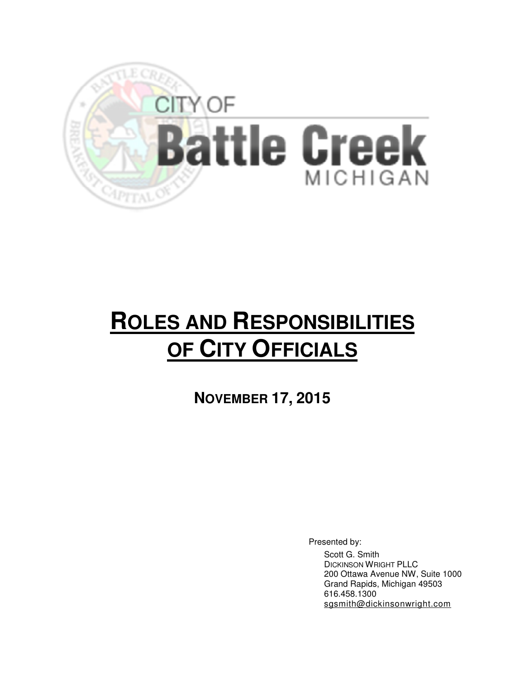

## **ROLES AND RESPONSIBILITIES OF CITY OFFICIALS**

**NOVEMBER 17, 2015** 

Presented by:

Scott G. Smith DICKINSON WRIGHT PLLC 200 Ottawa Avenue NW, Suite 1000 Grand Rapids, Michigan 49503 616.458.1300 sgsmith@dickinsonwright.com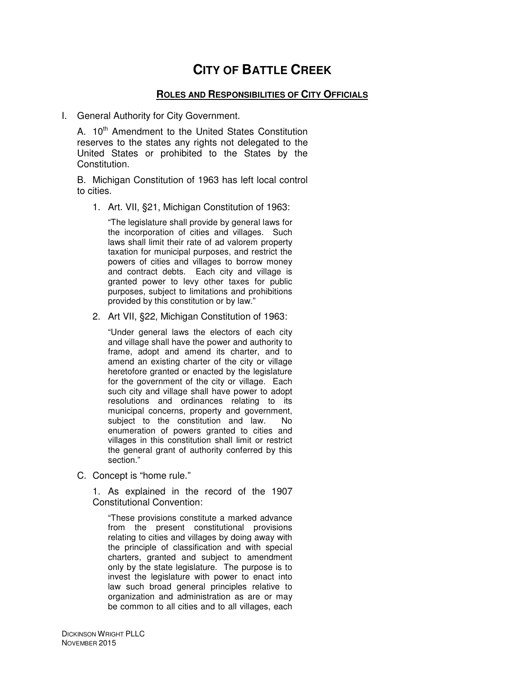## **CITY OF BATTLE CREEK**

## **ROLES AND RESPONSIBILITIES OF CITY OFFICIALS**

I. General Authority for City Government.

A. 10<sup>th</sup> Amendment to the United States Constitution reserves to the states any rights not delegated to the United States or prohibited to the States by the Constitution.

B. Michigan Constitution of 1963 has left local control to cities.

1. Art. VII, §21, Michigan Constitution of 1963:

"The legislature shall provide by general laws for the incorporation of cities and villages. Such laws shall limit their rate of ad valorem property taxation for municipal purposes, and restrict the powers of cities and villages to borrow money and contract debts. Each city and village is granted power to levy other taxes for public purposes, subject to limitations and prohibitions provided by this constitution or by law."

2. Art VII, §22, Michigan Constitution of 1963:

"Under general laws the electors of each city and village shall have the power and authority to frame, adopt and amend its charter, and to amend an existing charter of the city or village heretofore granted or enacted by the legislature for the government of the city or village. Each such city and village shall have power to adopt resolutions and ordinances relating to its municipal concerns, property and government, subject to the constitution and law. No enumeration of powers granted to cities and villages in this constitution shall limit or restrict the general grant of authority conferred by this section."

C. Concept is "home rule."

1. As explained in the record of the 1907 Constitutional Convention:

"These provisions constitute a marked advance from the present constitutional provisions relating to cities and villages by doing away with the principle of classification and with special charters, granted and subject to amendment only by the state legislature. The purpose is to invest the legislature with power to enact into law such broad general principles relative to organization and administration as are or may be common to all cities and to all villages, each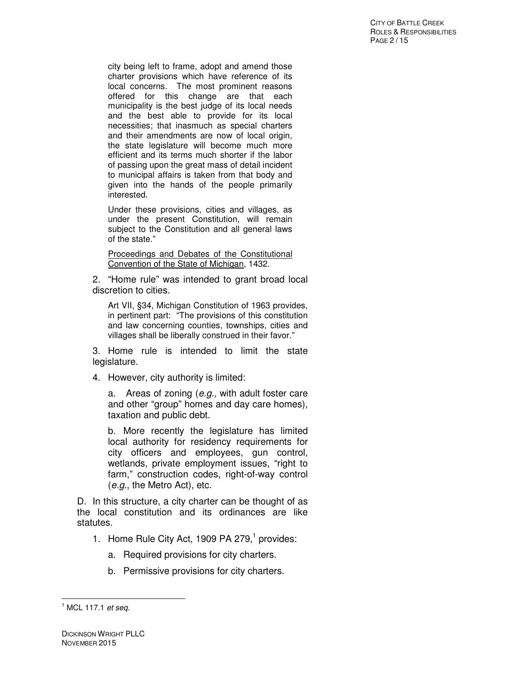city being left to frame, adopt and amend those charter provisions which have reference of its local concerns. The most prominent reasons offered for this change are that each municipality is the best judge of its local needs and the best able to provide for its local necessities; that inasmuch as special charters and their amendments are now of local origin, the state legislature will become much more efficient and its terms much shorter if the labor of passing upon the great mass of detail incident to municipal affairs is taken from that body and given into the hands of the people primarily interested.

Under these provisions, cities and villages, as under the present Constitution, will remain subject to the Constitution and all general laws of the state."

Proceedings and Debates of the Constitutional Convention of the State of Michigan, 1432.

2. "Home rule" was intended to grant broad local discretion to cities.

Art VII, §34, Michigan Constitution of 1963 provides, in pertinent part: "The provisions of this constitution and law concerning counties, townships, cities and villages shall be liberally construed in their favor."

3. Home rule is intended to limit the state legislature.

4. However, city authority is limited:

a. Areas of zoning (e.g., with adult foster care and other "group" homes and day care homes), taxation and public debt.

b. More recently the legislature has limited local authority for residency requirements for city officers and employees, gun control, wetlands, private employment issues, "right to farm," construction codes, right-of-way control (e.g., the Metro Act), etc.

D. In this structure, a city charter can be thought of as the local constitution and its ordinances are like statutes.

- 1. Home Rule City Act, 1909 PA 279, $<sup>1</sup>$  provides:</sup>
	- a. Required provisions for city charters.
	- b. Permissive provisions for city charters.

 $<sup>1</sup>$  MCL 117.1 et seq.</sup>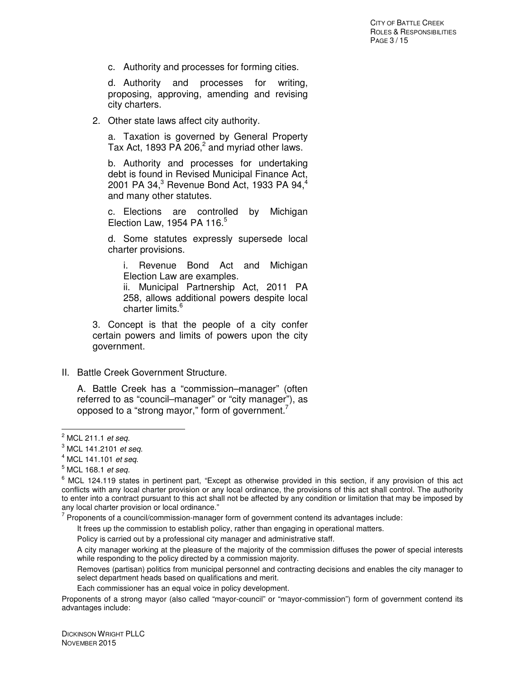c. Authority and processes for forming cities.

d. Authority and processes for writing, proposing, approving, amending and revising city charters.

2. Other state laws affect city authority.

a. Taxation is governed by General Property Tax Act, 1893 PA 206, $^2$  and myriad other laws.

b. Authority and processes for undertaking debt is found in Revised Municipal Finance Act, 2001 PA 34, $^3$  Revenue Bond Act, 1933 PA 94, $^4$ and many other statutes.

c. Elections are controlled by Michigan Election Law, 1954 PA 116. $5$ 

d. Some statutes expressly supersede local charter provisions.

i. Revenue Bond Act and Michigan Election Law are examples.

ii. Municipal Partnership Act, 2011 PA 258, allows additional powers despite local charter limits.<sup>6</sup>

3. Concept is that the people of a city confer certain powers and limits of powers upon the city government.

II. Battle Creek Government Structure.

A. Battle Creek has a "commission–manager" (often referred to as "council–manager" or "city manager"), as opposed to a "strong mayor," form of government.<sup>7</sup>

 $\overline{a}$ 

 $7$  Proponents of a council/commission-manager form of government contend its advantages include:

It frees up the commission to establish policy, rather than engaging in operational matters.

Removes (partisan) politics from municipal personnel and contracting decisions and enables the city manager to select department heads based on qualifications and merit.

Each commissioner has an equal voice in policy development.

Proponents of a strong mayor (also called "mayor-council" or "mayor-commission") form of government contend its advantages include:

<sup>&</sup>lt;sup>2</sup> MCL 211.1 et seq.

 $3$  MCL 141.2101 et seq.

 $4$  MCL 141.101 et seq.

 $^5$  MCL 168.1 *et seq.* 

<sup>&</sup>lt;sup>6</sup> MCL 124.119 states in pertinent part, "Except as otherwise provided in this section, if any provision of this act conflicts with any local charter provision or any local ordinance, the provisions of this act shall control. The authority to enter into a contract pursuant to this act shall not be affected by any condition or limitation that may be imposed by any local charter provision or local ordinance."

Policy is carried out by a professional city manager and administrative staff.

A city manager working at the pleasure of the majority of the commission diffuses the power of special interests while responding to the policy directed by a commission majority.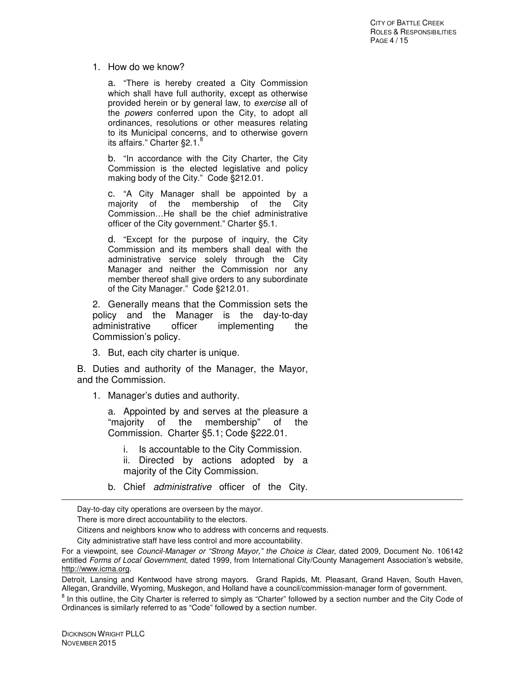## 1. How do we know?

a. "There is hereby created a City Commission which shall have full authority, except as otherwise provided herein or by general law, to exercise all of the powers conferred upon the City, to adopt all ordinances, resolutions or other measures relating to its Municipal concerns, and to otherwise govern its affairs." Charter  $\S 2.1$ .

b. "In accordance with the City Charter, the City Commission is the elected legislative and policy making body of the City." Code §212.01.

c. "A City Manager shall be appointed by a majority of the membership of the City Commission…He shall be the chief administrative officer of the City government." Charter §5.1.

d. "Except for the purpose of inquiry, the City Commission and its members shall deal with the administrative service solely through the City Manager and neither the Commission nor any member thereof shall give orders to any subordinate of the City Manager." Code §212.01.

2. Generally means that the Commission sets the policy and the Manager is the day-to-day<br>administrative officer implementing the administrative officer implementing the Commission's policy.

3. But, each city charter is unique.

B. Duties and authority of the Manager, the Mayor, and the Commission.

1. Manager's duties and authority.

a. Appointed by and serves at the pleasure a "majority of the membership" of the Commission. Charter §5.1; Code §222.01.

- i. Is accountable to the City Commission.
- ii. Directed by actions adopted by a majority of the City Commission.
- b. Chief administrative officer of the City.

Day-to-day city operations are overseen by the mayor.

There is more direct accountability to the electors.

Citizens and neighbors know who to address with concerns and requests.

City administrative staff have less control and more accountability.

For a viewpoint, see Council-Manager or "Strong Mayor," the Choice is Clear, dated 2009, Document No. 106142 entitled Forms of Local Government, dated 1999, from International City/County Management Association's website, http://www.icma.org.

Detroit, Lansing and Kentwood have strong mayors. Grand Rapids, Mt. Pleasant, Grand Haven, South Haven, Allegan, Grandville, Wyoming, Muskegon, and Holland have a council/commission-manager form of government.

<sup>&</sup>lt;sup>8</sup> In this outline, the City Charter is referred to simply as "Charter" followed by a section number and the City Code of Ordinances is similarly referred to as "Code" followed by a section number.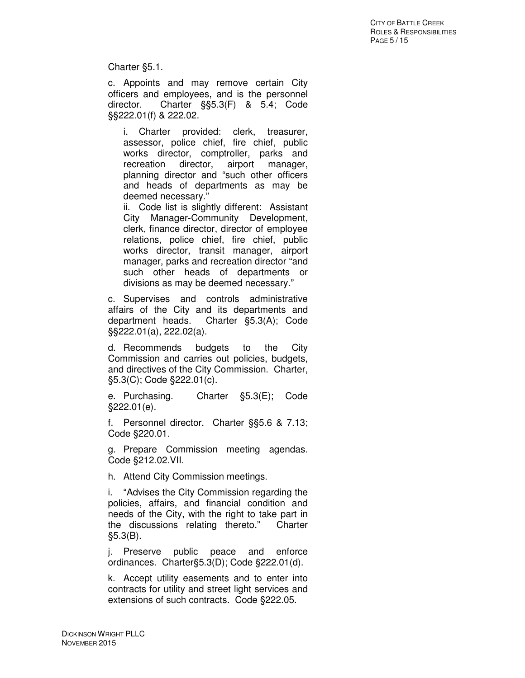Charter §5.1.

c. Appoints and may remove certain City officers and employees, and is the personnel director. Charter §§5.3(F) & 5.4; Code §§222.01(f) & 222.02.

i. Charter provided: clerk, treasurer, assessor, police chief, fire chief, public works director, comptroller, parks and recreation director, airport manager, planning director and "such other officers and heads of departments as may be deemed necessary."

ii. Code list is slightly different: Assistant City Manager-Community Development, clerk, finance director, director of employee relations, police chief, fire chief, public works director, transit manager, airport manager, parks and recreation director "and such other heads of departments or divisions as may be deemed necessary."

c. Supervises and controls administrative affairs of the City and its departments and department heads. Charter §5.3(A); Code §§222.01(a), 222.02(a).

d. Recommends budgets to the City Commission and carries out policies, budgets, and directives of the City Commission. Charter, §5.3(C); Code §222.01(c).

e. Purchasing. Charter §5.3(E); Code §222.01(e).

f. Personnel director. Charter §§5.6 & 7.13; Code §220.01.

g. Prepare Commission meeting agendas. Code §212.02.VII.

h. Attend City Commission meetings.

i. "Advises the City Commission regarding the policies, affairs, and financial condition and needs of the City, with the right to take part in the discussions relating thereto." Charter §5.3(B).

j. Preserve public peace and enforce ordinances. Charter§5.3(D); Code §222.01(d).

k. Accept utility easements and to enter into contracts for utility and street light services and extensions of such contracts. Code §222.05.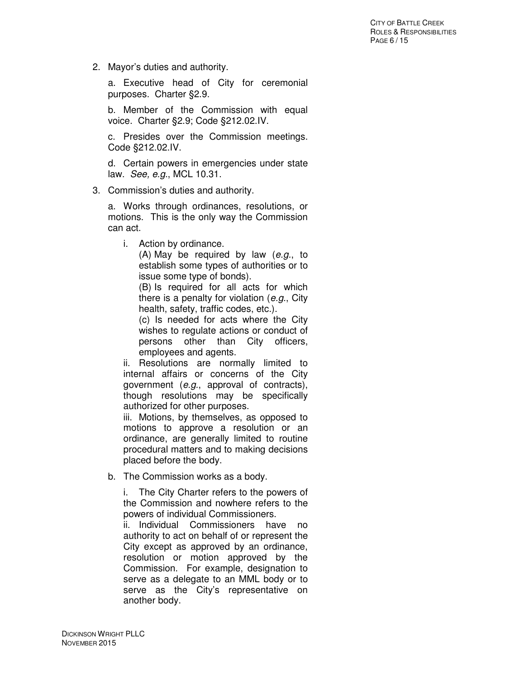2. Mayor's duties and authority.

a. Executive head of City for ceremonial purposes. Charter §2.9.

b. Member of the Commission with equal voice. Charter §2.9; Code §212.02.IV.

c. Presides over the Commission meetings. Code §212.02.IV.

d. Certain powers in emergencies under state law. See, e.g., MCL 10.31.

3. Commission's duties and authority.

a. Works through ordinances, resolutions, or motions. This is the only way the Commission can act.

i. Action by ordinance.

(A) May be required by law (e.g., to establish some types of authorities or to issue some type of bonds).

(B) Is required for all acts for which there is a penalty for violation (e.g., City health, safety, traffic codes, etc.).

(c) Is needed for acts where the City wishes to regulate actions or conduct of persons other than City officers, employees and agents.

ii. Resolutions are normally limited to internal affairs or concerns of the City government (e.g., approval of contracts), though resolutions may be specifically authorized for other purposes.

iii. Motions, by themselves, as opposed to motions to approve a resolution or an ordinance, are generally limited to routine procedural matters and to making decisions placed before the body.

b. The Commission works as a body.

i. The City Charter refers to the powers of the Commission and nowhere refers to the powers of individual Commissioners.

ii. Individual Commissioners have no authority to act on behalf of or represent the City except as approved by an ordinance, resolution or motion approved by the Commission. For example, designation to serve as a delegate to an MML body or to serve as the City's representative on another body.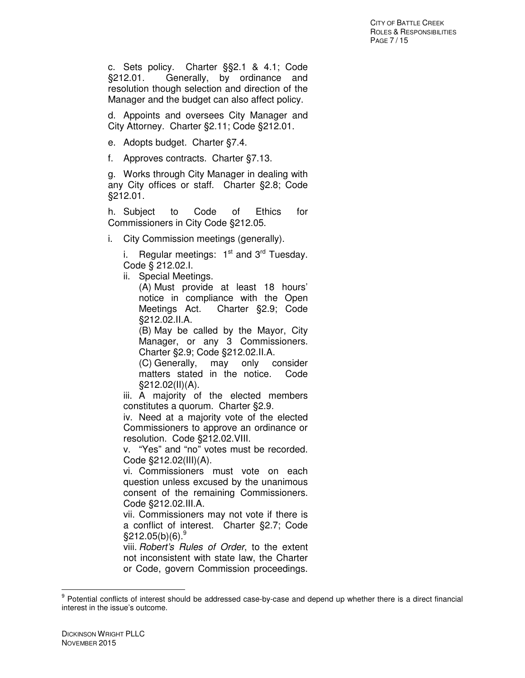c. Sets policy. Charter §§2.1 & 4.1; Code §212.01. Generally, by ordinance and resolution though selection and direction of the Manager and the budget can also affect policy.

d. Appoints and oversees City Manager and City Attorney. Charter §2.11; Code §212.01.

- e. Adopts budget. Charter §7.4.
- f. Approves contracts. Charter §7.13.

g. Works through City Manager in dealing with any City offices or staff. Charter §2.8; Code §212.01.

h. Subject to Code of Ethics for Commissioners in City Code §212.05.

i. City Commission meetings (generally).

i. Regular meetings:  $1<sup>st</sup>$  and  $3<sup>rd</sup>$  Tuesday. Code § 212.02.I.

ii. Special Meetings.

(A) Must provide at least 18 hours' notice in compliance with the Open Meetings Act. Charter §2.9; Code §212.02.II.A.

(B) May be called by the Mayor, City Manager, or any 3 Commissioners. Charter §2.9; Code §212.02.II.A.

(C) Generally, may only consider matters stated in the notice. Code §212.02(II)(A).

iii. A majority of the elected members constitutes a quorum. Charter §2.9.

iv. Need at a majority vote of the elected Commissioners to approve an ordinance or resolution. Code §212.02.VIII.

v. "Yes" and "no" votes must be recorded. Code §212.02(III)(A).

vi. Commissioners must vote on each question unless excused by the unanimous consent of the remaining Commissioners. Code §212.02.III.A.

vii. Commissioners may not vote if there is a conflict of interest. Charter §2.7; Code  $$212.05(b)(6).$ <sup>9</sup>

viii. Robert's Rules of Order, to the extent not inconsistent with state law, the Charter or Code, govern Commission proceedings.

<sup>&</sup>lt;sup>9</sup> Potential conflicts of interest should be addressed case-by-case and depend up whether there is a direct financial interest in the issue's outcome.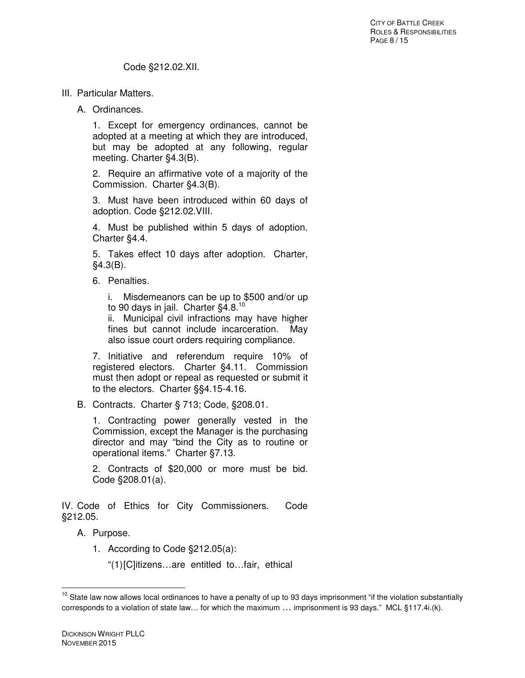- III. Particular Matters.
	- A. Ordinances.

1. Except for emergency ordinances, cannot be adopted at a meeting at which they are introduced, but may be adopted at any following, regular meeting. Charter §4.3(B).

2. Require an affirmative vote of a majority of the Commission. Charter §4.3(B).

3. Must have been introduced within 60 days of adoption. Code §212.02.VIII.

4. Must be published within 5 days of adoption. Charter §4.4.

5. Takes effect 10 days after adoption. Charter, §4.3(B).

6. Penalties.

i. Misdemeanors can be up to \$500 and/or up to 90 days in jail. Charter §4.8.<sup>10</sup>

ii. Municipal civil infractions may have higher fines but cannot include incarceration. May also issue court orders requiring compliance.

7. Initiative and referendum require 10% of registered electors. Charter §4.11. Commission must then adopt or repeal as requested or submit it to the electors. Charter §§4.15-4.16.

B. Contracts. Charter § 713; Code, §208.01.

1. Contracting power generally vested in the Commission, except the Manager is the purchasing director and may "bind the City as to routine or operational items." Charter §7.13.

2. Contracts of \$20,000 or more must be bid. Code §208.01(a).

IV. Code of Ethics for City Commissioners. Code §212.05.

A. Purpose.

1. According to Code §212.05(a):

"(1) [C]itizens…are entitled to…fair, ethical

 $10$  State law now allows local ordinances to have a penalty of up to 93 days imprisonment "if the violation substantially corresponds to a violation of state law… for which the maximum … imprisonment is 93 days." MCL §117.4i.(k).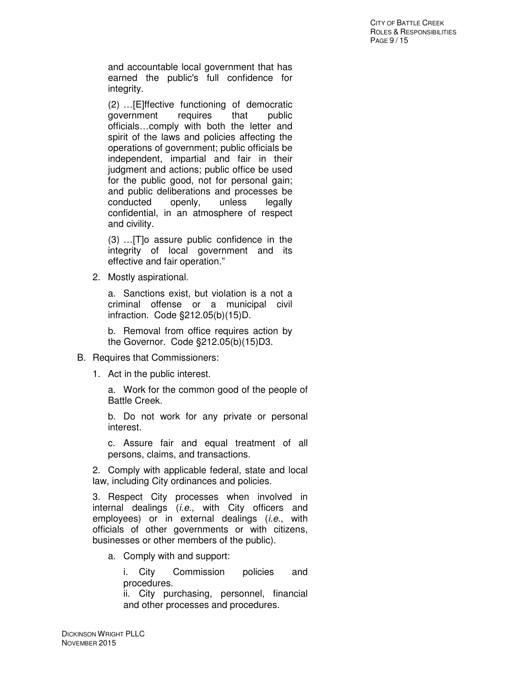and accountable local government that has earned the public's full confidence for integrity.

(2) …[E]ffective functioning of democratic government requires that public officials…comply with both the letter and spirit of the laws and policies affecting the operations of government; public officials be independent, impartial and fair in their judgment and actions; public office be used for the public good, not for personal gain; and public deliberations and processes be conducted openly, unless legally confidential, in an atmosphere of respect and civility.

(3) …[T]o assure public confidence in the integrity of local government and its effective and fair operation."

2. Mostly aspirational.

a. Sanctions exist, but violation is a not a criminal offense or a municipal civil infraction. Code §212.05(b)(15)D.

b. Removal from office requires action by the Governor. Code §212.05(b)(15)D3.

- B. Requires that Commissioners:
	- 1. Act in the public interest.

a. Work for the common good of the people of Battle Creek.

b. Do not work for any private or personal interest.

c. Assure fair and equal treatment of all persons, claims, and transactions.

2. Comply with applicable federal, state and local law, including City ordinances and policies.

3. Respect City processes when involved in internal dealings (*i.e.*, with City officers and employees) or in external dealings (*i.e.*, with officials of other governments or with citizens, businesses or other members of the public).

a. Comply with and support:

i. City Commission policies and procedures.

ii. City purchasing, personnel, financial and other processes and procedures.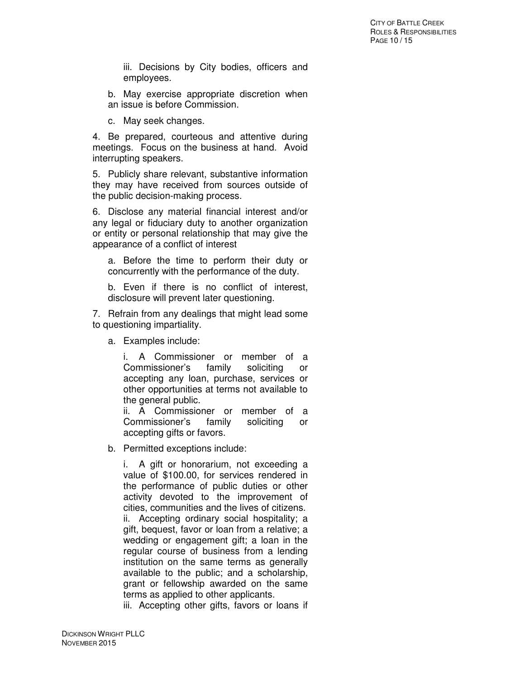iii. Decisions by City bodies, officers and employees.

b. May exercise appropriate discretion when an issue is before Commission.

c. May seek changes.

4. Be prepared, courteous and attentive during meetings. Focus on the business at hand. Avoid interrupting speakers.

5. Publicly share relevant, substantive information they may have received from sources outside of the public decision-making process.

6. Disclose any material financial interest and/or any legal or fiduciary duty to another organization or entity or personal relationship that may give the appearance of a conflict of interest

a. Before the time to perform their duty or concurrently with the performance of the duty.

b. Even if there is no conflict of interest, disclosure will prevent later questioning.

7. Refrain from any dealings that might lead some to questioning impartiality.

a. Examples include:

i. A Commissioner or member of a Commissioner's family soliciting or accepting any loan, purchase, services or other opportunities at terms not available to the general public.

ii. A Commissioner or member of a Commissioner's family soliciting or accepting gifts or favors.

b. Permitted exceptions include:

i. A gift or honorarium, not exceeding a value of \$100.00, for services rendered in the performance of public duties or other activity devoted to the improvement of cities, communities and the lives of citizens. ii. Accepting ordinary social hospitality; a gift, bequest, favor or loan from a relative; a wedding or engagement gift; a loan in the regular course of business from a lending institution on the same terms as generally available to the public; and a scholarship, grant or fellowship awarded on the same terms as applied to other applicants.

iii. Accepting other gifts, favors or loans if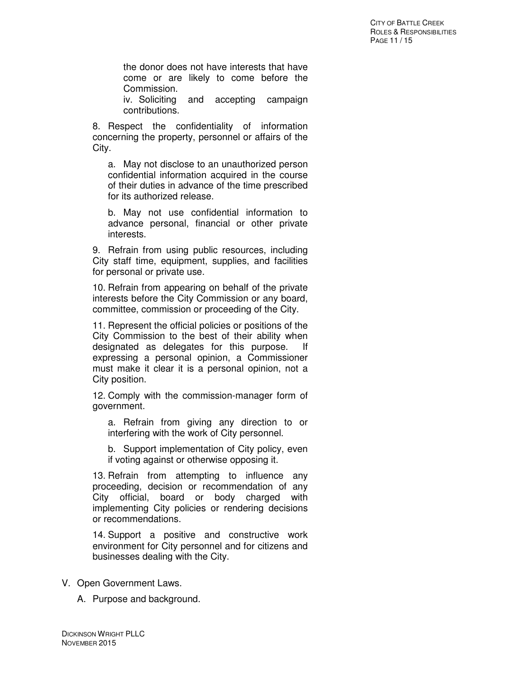the donor does not have interests that have come or are likely to come before the Commission.

iv. Soliciting and accepting campaign contributions.

8. Respect the confidentiality of information concerning the property, personnel or affairs of the City.

a. May not disclose to an unauthorized person confidential information acquired in the course of their duties in advance of the time prescribed for its authorized release.

b. May not use confidential information to advance personal, financial or other private interests.

9. Refrain from using public resources, including City staff time, equipment, supplies, and facilities for personal or private use.

10. Refrain from appearing on behalf of the private interests before the City Commission or any board, committee, commission or proceeding of the City.

11. Represent the official policies or positions of the City Commission to the best of their ability when designated as delegates for this purpose. If expressing a personal opinion, a Commissioner must make it clear it is a personal opinion, not a City position.

12. Comply with the commission-manager form of government.

a. Refrain from giving any direction to or interfering with the work of City personnel.

b. Support implementation of City policy, even if voting against or otherwise opposing it.

13. Refrain from attempting to influence any proceeding, decision or recommendation of any City official, board or body charged with implementing City policies or rendering decisions or recommendations.

14. Support a positive and constructive work environment for City personnel and for citizens and businesses dealing with the City.

- V. Open Government Laws.
	- A. Purpose and background.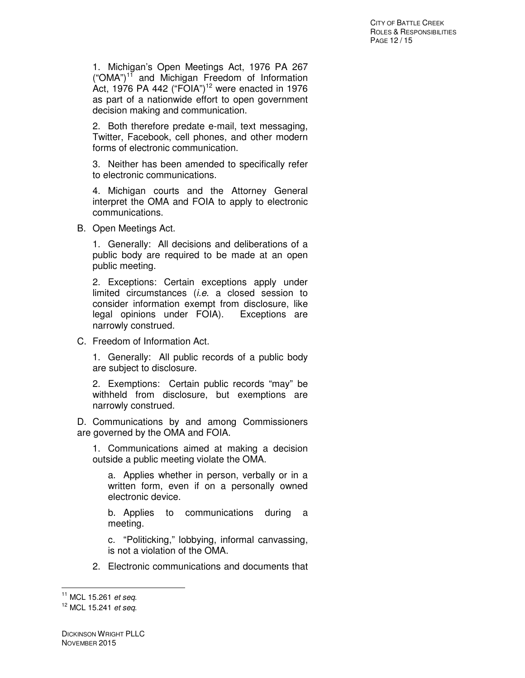1. Michigan's Open Meetings Act, 1976 PA 267  $("OMA")$ <sup>11</sup> and Michigan Freedom of Information Act, 1976 PA 442 ("FOIA")<sup>12</sup> were enacted in 1976 as part of a nationwide effort to open government decision making and communication.

2. Both therefore predate e-mail, text messaging, Twitter, Facebook, cell phones, and other modern forms of electronic communication.

3. Neither has been amended to specifically refer to electronic communications.

4. Michigan courts and the Attorney General interpret the OMA and FOIA to apply to electronic communications.

B. Open Meetings Act.

1. Generally: All decisions and deliberations of a public body are required to be made at an open public meeting.

2. Exceptions: Certain exceptions apply under limited circumstances (i.e. a closed session to consider information exempt from disclosure, like legal opinions under FOIA). Exceptions are narrowly construed.

C. Freedom of Information Act.

1. Generally: All public records of a public body are subject to disclosure.

2. Exemptions: Certain public records "may" be withheld from disclosure, but exemptions are narrowly construed.

D. Communications by and among Commissioners are governed by the OMA and FOIA.

1. Communications aimed at making a decision outside a public meeting violate the OMA.

a. Applies whether in person, verbally or in a written form, even if on a personally owned electronic device.

b. Applies to communications during a meeting.

c. "Politicking," lobbying, informal canvassing, is not a violation of the OMA.

2. Electronic communications and documents that

 $11$  MCL 15.261 et seq.

<sup>&</sup>lt;sup>12</sup> MCL 15.241 et seq.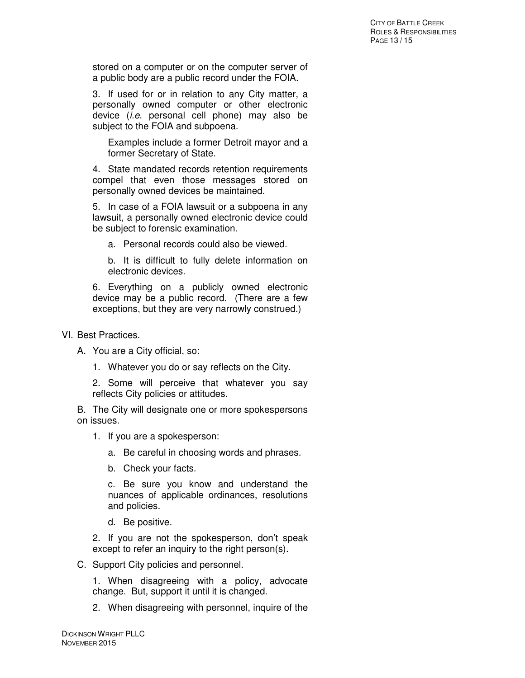stored on a computer or on the computer server of a public body are a public record under the FOIA.

3. If used for or in relation to any City matter, a personally owned computer or other electronic device (i.e. personal cell phone) may also be subject to the FOIA and subpoena.

Examples include a former Detroit mayor and a former Secretary of State.

4. State mandated records retention requirements compel that even those messages stored on personally owned devices be maintained.

5. In case of a FOIA lawsuit or a subpoena in any lawsuit, a personally owned electronic device could be subject to forensic examination.

a. Personal records could also be viewed.

b. It is difficult to fully delete information on electronic devices.

6. Everything on a publicly owned electronic device may be a public record. (There are a few exceptions, but they are very narrowly construed.)

- VI. Best Practices.
	- A. You are a City official, so:
		- 1. Whatever you do or say reflects on the City.

2. Some will perceive that whatever you say reflects City policies or attitudes.

B. The City will designate one or more spokespersons on issues.

- 1. If you are a spokesperson:
	- a. Be careful in choosing words and phrases.
	- b. Check your facts.

c. Be sure you know and understand the nuances of applicable ordinances, resolutions and policies.

d. Be positive.

2. If you are not the spokesperson, don't speak except to refer an inquiry to the right person(s).

C. Support City policies and personnel.

1. When disagreeing with a policy, advocate change. But, support it until it is changed.

2. When disagreeing with personnel, inquire of the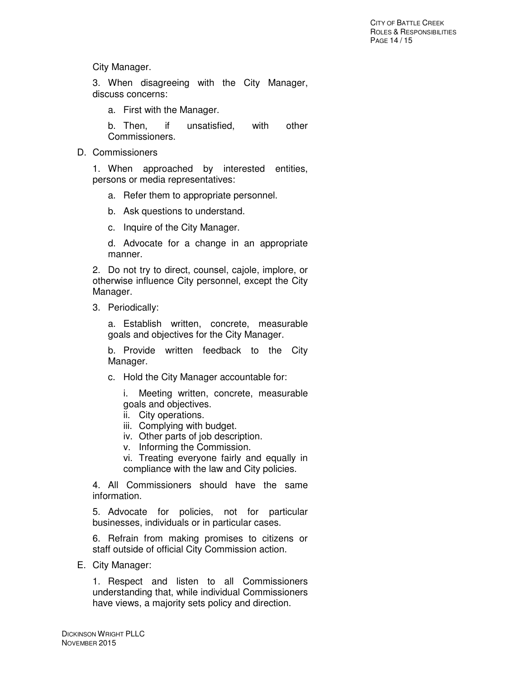City Manager.

3. When disagreeing with the City Manager, discuss concerns:

a. First with the Manager.

b. Then, if unsatisfied, with other Commissioners.

D. Commissioners

1. When approached by interested entities, persons or media representatives:

- a. Refer them to appropriate personnel.
- b. Ask questions to understand.
- c. Inquire of the City Manager.

d. Advocate for a change in an appropriate manner.

2. Do not try to direct, counsel, cajole, implore, or otherwise influence City personnel, except the City Manager.

3. Periodically:

a. Establish written, concrete, measurable goals and objectives for the City Manager.

b. Provide written feedback to the City Manager.

c. Hold the City Manager accountable for:

i. Meeting written, concrete, measurable goals and objectives.

- ii. City operations.
- iii. Complying with budget.
- iv. Other parts of job description.
- v. Informing the Commission.

vi. Treating everyone fairly and equally in compliance with the law and City policies.

4. All Commissioners should have the same information.

5. Advocate for policies, not for particular businesses, individuals or in particular cases.

6. Refrain from making promises to citizens or staff outside of official City Commission action.

E. City Manager:

1. Respect and listen to all Commissioners understanding that, while individual Commissioners have views, a majority sets policy and direction.